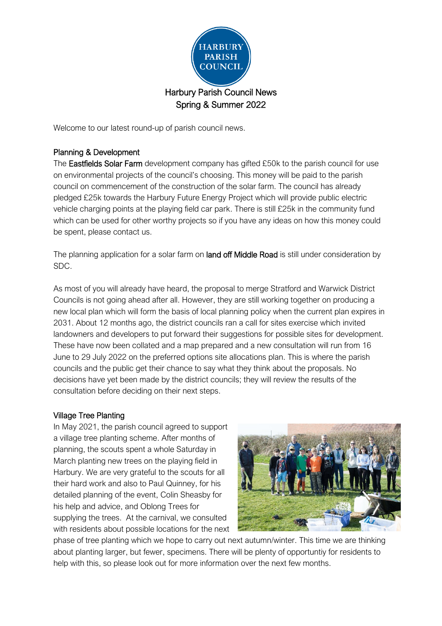

Welcome to our latest round-up of parish council news.

# Planning & Development

The **Eastfields Solar Farm** development company has gifted £50k to the parish council for use on environmental projects of the council's choosing. This money will be paid to the parish council on commencement of the construction of the solar farm. The council has already pledged £25k towards the Harbury Future Energy Project which will provide public electric vehicle charging points at the playing field car park. There is still £25k in the community fund which can be used for other worthy projects so if you have any ideas on how this money could be spent, please contact us.

The planning application for a solar farm on **land off Middle Road** is still under consideration by SDC.

As most of you will already have heard, the proposal to merge Stratford and Warwick District Councils is not going ahead after all. However, they are still working together on producing a new local plan which will form the basis of local planning policy when the current plan expires in 2031. About 12 months ago, the district councils ran a call for sites exercise which invited landowners and developers to put forward their suggestions for possible sites for development. These have now been collated and a map prepared and a new consultation will run from 16 June to 29 July 2022 on the preferred options site allocations plan. This is where the parish councils and the public get their chance to say what they think about the proposals. No decisions have yet been made by the district councils; they will review the results of the consultation before deciding on their next steps.

# Village Tree Planting

In May 2021, the parish council agreed to support a village tree planting scheme. After months of planning, the scouts spent a whole Saturday in March planting new trees on the playing field in Harbury. We are very grateful to the scouts for all their hard work and also to Paul Quinney, for his detailed planning of the event, Colin Sheasby for his help and advice, and Oblong Trees for supplying the trees. At the carnival, we consulted with residents about possible locations for the next



phase of tree planting which we hope to carry out next autumn/winter. This time we are thinking about planting larger, but fewer, specimens. There will be plenty of opportuntiy for residents to help with this, so please look out for more information over the next few months.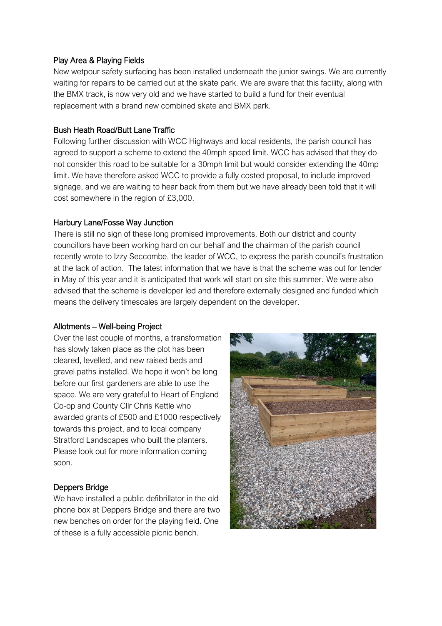#### Play Area & Playing Fields

New wetpour safety surfacing has been installed underneath the junior swings. We are currently waiting for repairs to be carried out at the skate park. We are aware that this facility, along with the BMX track, is now very old and we have started to build a fund for their eventual replacement with a brand new combined skate and BMX park.

#### Bush Heath Road/Butt Lane Traffic

Following further discussion with WCC Highways and local residents, the parish council has agreed to support a scheme to extend the 40mph speed limit. WCC has advised that they do not consider this road to be suitable for a 30mph limit but would consider extending the 40mp limit. We have therefore asked WCC to provide a fully costed proposal, to include improved signage, and we are waiting to hear back from them but we have already been told that it will cost somewhere in the region of £3,000.

#### Harbury Lane/Fosse Way Junction

There is still no sign of these long promised improvements. Both our district and county councillors have been working hard on our behalf and the chairman of the parish council recently wrote to Izzy Seccombe, the leader of WCC, to express the parish council's frustration at the lack of action. The latest information that we have is that the scheme was out for tender in May of this year and it is anticipated that work will start on site this summer. We were also advised that the scheme is developer led and therefore externally designed and funded which means the delivery timescales are largely dependent on the developer.

#### Allotments – Well-being Project

Over the last couple of months, a transformation has slowly taken place as the plot has been cleared, levelled, and new raised beds and gravel paths installed. We hope it won't be long before our first gardeners are able to use the space. We are very grateful to Heart of England Co-op and County Cllr Chris Kettle who awarded grants of £500 and £1000 respectively towards this project, and to local company Stratford Landscapes who built the planters. Please look out for more information coming soon.

# Deppers Bridge

We have installed a public defibrillator in the old phone box at Deppers Bridge and there are two new benches on order for the playing field. One of these is a fully accessible picnic bench.